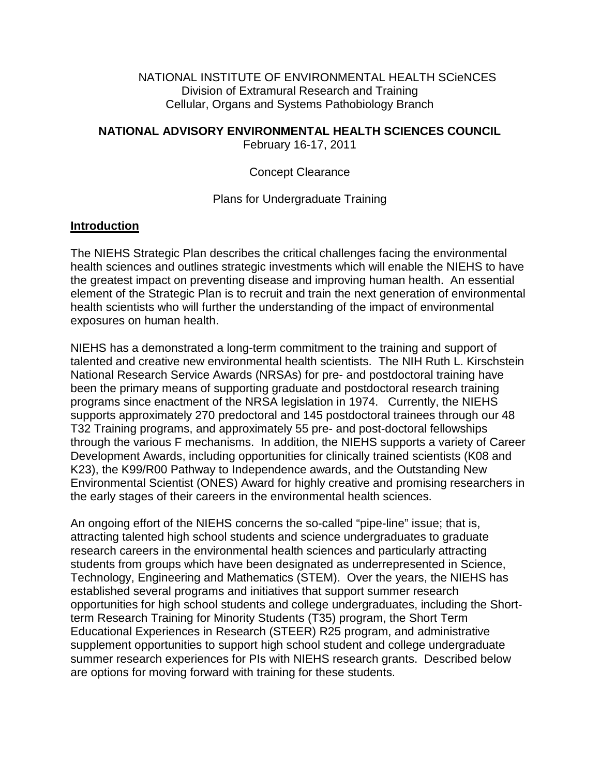NATIONAL INSTITUTE OF ENVIRONMENTAL HEALTH SCieNCES Division of Extramural Research and Training Cellular, Organs and Systems Pathobiology Branch

**NATIONAL ADVISORY ENVIRONMENTAL HEALTH SCIENCES COUNCIL**

February 16-17, 2011

Concept Clearance

Plans for Undergraduate Training

## **Introduction**

The NIEHS Strategic Plan describes the critical challenges facing the environmental health sciences and outlines strategic investments which will enable the NIEHS to have the greatest impact on preventing disease and improving human health. An essential element of the Strategic Plan is to recruit and train the next generation of environmental health scientists who will further the understanding of the impact of environmental exposures on human health.

NIEHS has a demonstrated a long-term commitment to the training and support of talented and creative new environmental health scientists. The NIH Ruth L. Kirschstein National Research Service Awards (NRSAs) for pre- and postdoctoral training have been the primary means of supporting graduate and postdoctoral research training programs since enactment of the NRSA legislation in 1974. Currently, the NIEHS supports approximately 270 predoctoral and 145 postdoctoral trainees through our 48 T32 Training programs, and approximately 55 pre- and post-doctoral fellowships through the various F mechanisms. In addition, the NIEHS supports a variety of Career Development Awards, including opportunities for clinically trained scientists (K08 and K23), the K99/R00 Pathway to Independence awards, and the Outstanding New Environmental Scientist (ONES) Award for highly creative and promising researchers in the early stages of their careers in the environmental health sciences.

An ongoing effort of the NIEHS concerns the so-called "pipe-line" issue; that is, attracting talented high school students and science undergraduates to graduate research careers in the environmental health sciences and particularly attracting students from groups which have been designated as underrepresented in Science, Technology, Engineering and Mathematics (STEM). Over the years, the NIEHS has established several programs and initiatives that support summer research opportunities for high school students and college undergraduates, including the Shortterm Research Training for Minority Students (T35) program, the Short Term Educational Experiences in Research (STEER) R25 program, and administrative supplement opportunities to support high school student and college undergraduate summer research experiences for PIs with NIEHS research grants. Described below are options for moving forward with training for these students.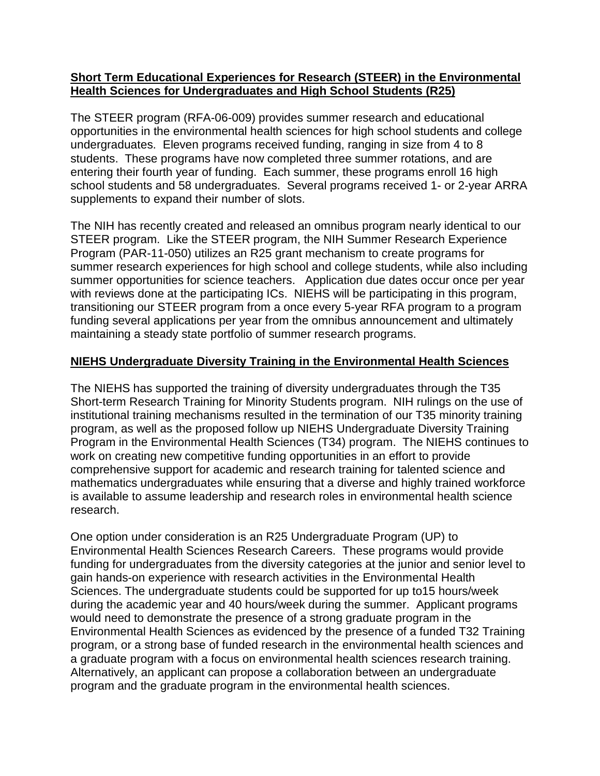## **Short Term Educational Experiences for Research (STEER) in the Environmental Health Sciences for Undergraduates and High School Students (R25)**

The STEER program (RFA-06-009) provides summer research and educational opportunities in the environmental health sciences for high school students and college undergraduates. Eleven programs received funding, ranging in size from 4 to 8 students. These programs have now completed three summer rotations, and are entering their fourth year of funding. Each summer, these programs enroll 16 high school students and 58 undergraduates. Several programs received 1- or 2-year ARRA supplements to expand their number of slots.

The NIH has recently created and released an omnibus program nearly identical to our STEER program. Like the STEER program, the NIH Summer Research Experience Program (PAR-11-050) utilizes an R25 grant mechanism to create programs for summer research experiences for high school and college students, while also including summer opportunities for science teachers. Application due dates occur once per year with reviews done at the participating ICs. NIEHS will be participating in this program, transitioning our STEER program from a once every 5-year RFA program to a program funding several applications per year from the omnibus announcement and ultimately maintaining a steady state portfolio of summer research programs.

## **NIEHS Undergraduate Diversity Training in the Environmental Health Sciences**

The NIEHS has supported the training of diversity undergraduates through the T35 Short-term Research Training for Minority Students program. NIH rulings on the use of institutional training mechanisms resulted in the termination of our T35 minority training program, as well as the proposed follow up NIEHS Undergraduate Diversity Training Program in the Environmental Health Sciences (T34) program. The NIEHS continues to work on creating new competitive funding opportunities in an effort to provide comprehensive support for academic and research training for talented science and mathematics undergraduates while ensuring that a diverse and highly trained workforce is available to assume leadership and research roles in environmental health science research.

One option under consideration is an R25 Undergraduate Program (UP) to Environmental Health Sciences Research Careers. These programs would provide funding for undergraduates from the diversity categories at the junior and senior level to gain hands-on experience with research activities in the Environmental Health Sciences. The undergraduate students could be supported for up to15 hours/week during the academic year and 40 hours/week during the summer. Applicant programs would need to demonstrate the presence of a strong graduate program in the Environmental Health Sciences as evidenced by the presence of a funded T32 Training program, or a strong base of funded research in the environmental health sciences and a graduate program with a focus on environmental health sciences research training. Alternatively, an applicant can propose a collaboration between an undergraduate program and the graduate program in the environmental health sciences.